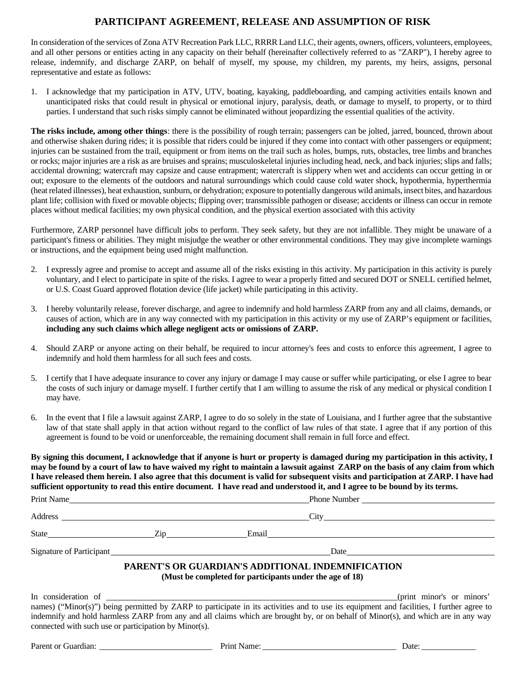## **PARTICIPANT AGREEMENT, RELEASE AND ASSUMPTION OF RISK**

In consideration of the services of Zona ATV Recreation Park LLC, RRRR Land LLC, their agents, owners, officers, volunteers, employees, and all other persons or entities acting in any capacity on their behalf (hereinafter collectively referred to as "ZARP"), I hereby agree to release, indemnify, and discharge ZARP, on behalf of myself, my spouse, my children, my parents, my heirs, assigns, personal representative and estate as follows:

1. I acknowledge that my participation in ATV, UTV, boating, kayaking, paddleboarding, and camping activities entails known and unanticipated risks that could result in physical or emotional injury, paralysis, death, or damage to myself, to property, or to third parties. I understand that such risks simply cannot be eliminated without jeopardizing the essential qualities of the activity.

**The risks include, among other things**: there is the possibility of rough terrain; passengers can be jolted, jarred, bounced, thrown about and otherwise shaken during rides; it is possible that riders could be injured if they come into contact with other passengers or equipment; injuries can be sustained from the trail, equipment or from items on the trail such as holes, bumps, ruts, obstacles, tree limbs and branches or rocks; major injuries are a risk as are bruises and sprains; musculoskeletal injuries including head, neck, and back injuries; slips and falls; accidental drowning; watercraft may capsize and cause entrapment; watercraft is slippery when wet and accidents can occur getting in or out; exposure to the elements of the outdoors and natural surroundings which could cause cold water shock, hypothermia, hyperthermia (heat related illnesses), heat exhaustion, sunburn, or dehydration; exposure to potentially dangerous wild animals, insect bites, and hazardous plant life; collision with fixed or movable objects; flipping over; transmissible pathogen or disease; accidents or illness can occur in remote places without medical facilities; my own physical condition, and the physical exertion associated with this activity

Furthermore, ZARP personnel have difficult jobs to perform. They seek safety, but they are not infallible. They might be unaware of a participant's fitness or abilities. They might misjudge the weather or other environmental conditions. They may give incomplete warnings or instructions, and the equipment being used might malfunction.

- 2. I expressly agree and promise to accept and assume all of the risks existing in this activity. My participation in this activity is purely voluntary, and I elect to participate in spite of the risks. I agree to wear a properly fitted and secured DOT or SNELL certified helmet, or U.S. Coast Guard approved flotation device (life jacket) while participating in this activity.
- 3. I hereby voluntarily release, forever discharge, and agree to indemnify and hold harmless ZARP from any and all claims, demands, or causes of action, which are in any way connected with my participation in this activity or my use of ZARP's equipment or facilities, **including any such claims which allege negligent acts or omissions of ZARP.**
- 4. Should ZARP or anyone acting on their behalf, be required to incur attorney's fees and costs to enforce this agreement, I agree to indemnify and hold them harmless for all such fees and costs.
- 5. I certify that I have adequate insurance to cover any injury or damage I may cause or suffer while participating, or else I agree to bear the costs of such injury or damage myself. I further certify that I am willing to assume the risk of any medical or physical condition I may have.
- 6. In the event that I file a lawsuit against ZARP, I agree to do so solely in the state of Louisiana, and I further agree that the substantive law of that state shall apply in that action without regard to the conflict of law rules of that state. I agree that if any portion of this agreement is found to be void or unenforceable, the remaining document shall remain in full force and effect.

**By signing this document, I acknowledge that if anyone is hurt or property is damaged during my participation in this activity, I may be found by a court of law to have waived my right to maintain a lawsuit against ZARP on the basis of any claim from which I have released them herein. I also agree that this document is valid for subsequent visits and participation at ZARP. I have had sufficient opportunity to read this entire document. I have read and understood it, and I agree to be bound by its terms.** 

| Print Name                                                  |  |                                                          |                                                                                                                                                                                                                                |                                                                                                                                                                                                                                                                               |
|-------------------------------------------------------------|--|----------------------------------------------------------|--------------------------------------------------------------------------------------------------------------------------------------------------------------------------------------------------------------------------------|-------------------------------------------------------------------------------------------------------------------------------------------------------------------------------------------------------------------------------------------------------------------------------|
|                                                             |  |                                                          | City the contract of the contract of the contract of the contract of the contract of the contract of the contract of the contract of the contract of the contract of the contract of the contract of the contract of the contr |                                                                                                                                                                                                                                                                               |
|                                                             |  |                                                          | State <u>Tip Email</u>                                                                                                                                                                                                         |                                                                                                                                                                                                                                                                               |
| Signature of Participant<br><u>Signature</u> of Participant |  |                                                          |                                                                                                                                                                                                                                |                                                                                                                                                                                                                                                                               |
|                                                             |  | (Must be completed for participants under the age of 18) | PARENT'S OR GUARDIAN'S ADDITIONAL INDEMNIFICATION                                                                                                                                                                              |                                                                                                                                                                                                                                                                               |
| connected with such use or participation by Minor(s).       |  |                                                          |                                                                                                                                                                                                                                | names) ("Minor(s)") being permitted by ZARP to participate in its activities and to use its equipment and facilities, I further agree to<br>indemnify and hold harmless ZARP from any and all claims which are brought by, or on behalf of Minor(s), and which are in any way |
| Parent or Guardian:                                         |  | Print Name:                                              |                                                                                                                                                                                                                                | Date:                                                                                                                                                                                                                                                                         |